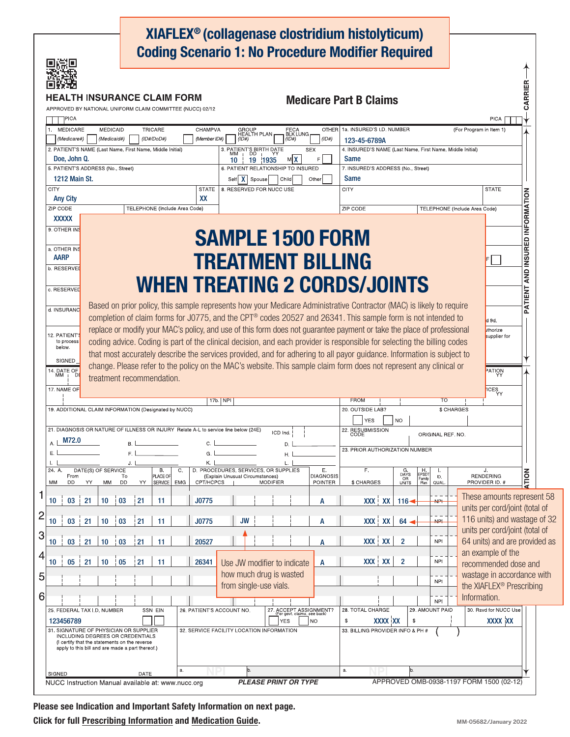|                                                                                          |                                                                                                 |           |      |                               |            |                                                           |          |           |                                             |                  |            |                                                       | XIAFLEX <sup>®</sup> (collagenase clostridium histolyticum)<br><b>Coding Scenario 1: No Procedure Modifier Required</b>  |                                            |                                               |                      |                 |                               |                                                      |                                 |  |  |
|------------------------------------------------------------------------------------------|-------------------------------------------------------------------------------------------------|-----------|------|-------------------------------|------------|-----------------------------------------------------------|----------|-----------|---------------------------------------------|------------------|------------|-------------------------------------------------------|--------------------------------------------------------------------------------------------------------------------------|--------------------------------------------|-----------------------------------------------|----------------------|-----------------|-------------------------------|------------------------------------------------------|---------------------------------|--|--|
| APPROVED BY NATIONAL UNIFORM CLAIM COMMITTEE (NUCC) 02/12                                | TH INSURANCE CLAIM FORM.                                                                        |           |      |                               |            |                                                           |          |           |                                             |                  |            |                                                       | <b>Medicare Part B Claims</b>                                                                                            |                                            |                                               |                      |                 |                               |                                                      | CARRIER                         |  |  |
| ]PICA                                                                                    |                                                                                                 |           |      |                               |            |                                                           |          |           |                                             |                  |            |                                                       |                                                                                                                          |                                            |                                               |                      |                 |                               | <b>PICA</b>                                          |                                 |  |  |
| MEDICARE<br>1.                                                                           | MEDICAID                                                                                        |           |      | TRICARE                       |            | CHAMPVA                                                   |          |           | GROUP<br>HEALTH PLAN                        | FECA<br>BLK LUNG |            | <b>OTHER</b>                                          | 1a. INSURED'S I.D. NUMBER                                                                                                |                                            |                                               |                      |                 |                               | (For Program in Item 1)                              |                                 |  |  |
| (Medicare#)                                                                              | (Medicaid#)                                                                                     |           |      | (ID#/DoD#)                    |            | (Member ID#)                                              |          | (1D#)     |                                             | (ID#)            |            | (1D#)                                                 | 123-45-6789A                                                                                                             |                                            |                                               |                      |                 |                               |                                                      |                                 |  |  |
| 2. PATIENT'S NAME (Last Name, First Name, Middle Initial)<br>Doe, John Q.                |                                                                                                 |           |      |                               |            |                                                           |          |           | 3. PATIENT'S BIRTH DATE<br>MM   DD   YY     |                  | <b>SEX</b> | F                                                     | 4. INSURED'S NAME (Last Name, First Name, Middle Initial)                                                                |                                            |                                               |                      |                 |                               |                                                      |                                 |  |  |
| 5. PATIENT'S ADDRESS (No., Street)                                                       |                                                                                                 |           |      |                               |            | MX<br>19 1935<br>10<br>6. PATIENT RELATIONSHIP TO INSURED |          |           |                                             |                  |            |                                                       |                                                                                                                          | Same<br>7. INSURED'S ADDRESS (No., Street) |                                               |                      |                 |                               |                                                      |                                 |  |  |
| <b>1212 Main St.</b>                                                                     |                                                                                                 |           |      |                               |            |                                                           |          | Self   X  | Spouse                                      | Child            |            | Other                                                 | Same                                                                                                                     |                                            |                                               |                      |                 |                               |                                                      |                                 |  |  |
| <b>CITY</b>                                                                              |                                                                                                 |           |      |                               |            | <b>STATE</b>                                              |          |           | 8. RESERVED FOR NUCC USE                    |                  |            |                                                       | <b>CITY</b>                                                                                                              |                                            |                                               |                      |                 |                               | <b>STATE</b>                                         |                                 |  |  |
| <b>Any City</b><br><b>ZIP CODE</b>                                                       |                                                                                                 |           |      |                               |            | XX                                                        |          |           |                                             |                  |            |                                                       |                                                                                                                          |                                            |                                               |                      |                 |                               |                                                      |                                 |  |  |
| <b>XXXXX</b>                                                                             |                                                                                                 |           |      | TELEPHONE (Include Area Code) |            |                                                           |          |           |                                             |                  |            |                                                       | <b>ZIP CODE</b>                                                                                                          |                                            |                                               |                      |                 | TELEPHONE (Include Area Code) |                                                      |                                 |  |  |
| 9. OTHER INS                                                                             |                                                                                                 |           |      |                               |            |                                                           |          |           |                                             |                  |            |                                                       |                                                                                                                          |                                            |                                               |                      |                 |                               |                                                      | PATIENT AND INSURED INFORMATION |  |  |
|                                                                                          |                                                                                                 |           |      |                               |            |                                                           |          |           |                                             |                  |            |                                                       | <b>SAMPLE 1500 FORM</b>                                                                                                  |                                            |                                               |                      |                 |                               |                                                      |                                 |  |  |
| a. OTHER INS                                                                             |                                                                                                 |           |      |                               |            |                                                           |          |           |                                             |                  |            |                                                       |                                                                                                                          |                                            |                                               |                      |                 |                               |                                                      |                                 |  |  |
| <b>AARP</b><br>b. RESERVED                                                               |                                                                                                 |           |      |                               |            |                                                           |          |           |                                             |                  |            |                                                       | <b>TREATMENT BILLING</b>                                                                                                 |                                            |                                               |                      |                 |                               |                                                      |                                 |  |  |
|                                                                                          |                                                                                                 |           |      |                               |            |                                                           |          |           |                                             |                  |            |                                                       |                                                                                                                          |                                            |                                               |                      |                 |                               |                                                      |                                 |  |  |
| c. RESERVED                                                                              |                                                                                                 |           |      |                               |            |                                                           |          |           |                                             |                  |            |                                                       | <b>WHEN TREATING 2 CORDS/JOINTS</b>                                                                                      |                                            |                                               |                      |                 |                               |                                                      |                                 |  |  |
|                                                                                          |                                                                                                 |           |      |                               |            |                                                           |          |           |                                             |                  |            |                                                       |                                                                                                                          |                                            |                                               |                      |                 |                               |                                                      |                                 |  |  |
| d. INSURANC                                                                              |                                                                                                 |           |      |                               |            |                                                           |          |           |                                             |                  |            |                                                       | Based on prior policy, this sample represents how your Medicare Administrative Contractor (MAC) is likely to require     |                                            |                                               |                      |                 |                               |                                                      |                                 |  |  |
|                                                                                          |                                                                                                 |           |      |                               |            |                                                           |          |           |                                             |                  |            |                                                       | completion of claim forms for J0775, and the CPT® codes 20527 and 26341. This sample form is not intended to             |                                            |                                               |                      |                 |                               | $d$ 9d.                                              |                                 |  |  |
| 12. PATIENT'S                                                                            |                                                                                                 |           |      |                               |            |                                                           |          |           |                                             |                  |            |                                                       | replace or modify your MAC's policy, and use of this form does not guarantee payment or take the place of professional   |                                            |                                               |                      |                 |                               | uthorize<br>supplier for                             |                                 |  |  |
| to process<br>below.                                                                     |                                                                                                 |           |      |                               |            |                                                           |          |           |                                             |                  |            |                                                       | coding advice. Coding is part of the clinical decision, and each provider is responsible for selecting the billing codes |                                            |                                               |                      |                 |                               |                                                      |                                 |  |  |
| <b>SIGNED</b>                                                                            |                                                                                                 |           |      |                               |            |                                                           |          |           |                                             |                  |            |                                                       | that most accurately describe the services provided, and for adhering to all payor guidance. Information is subject to   |                                            |                                               |                      |                 |                               |                                                      |                                 |  |  |
| 14. DATE OF<br>MM <sub>I</sub> DI                                                        |                                                                                                 |           |      |                               |            |                                                           |          |           |                                             |                  |            |                                                       | change. Please refer to the policy on the MAC's website. This sample claim form does not represent any clinical or       |                                            |                                               |                      |                 |                               | PATION                                               |                                 |  |  |
| 17. NAME OF                                                                              | treatment recommendation.                                                                       |           |      |                               |            |                                                           |          |           |                                             |                  |            |                                                       |                                                                                                                          |                                            |                                               |                      |                 |                               |                                                      |                                 |  |  |
|                                                                                          |                                                                                                 |           |      |                               |            |                                                           | 17b. NPI |           |                                             |                  |            |                                                       | <b>FROM</b>                                                                                                              |                                            |                                               |                      | TO              |                               | $\widehat{\text{ICES}}_{\text{YY}}$                  |                                 |  |  |
| 19. ADDITIONAL CLAIM INFORMATION (Designated by NUCC)                                    |                                                                                                 |           |      |                               |            | 20. OUTSIDE LAB?<br>\$ CHARGES                            |          |           |                                             |                  |            |                                                       |                                                                                                                          |                                            |                                               |                      |                 |                               |                                                      |                                 |  |  |
|                                                                                          |                                                                                                 |           |      |                               |            |                                                           |          |           |                                             |                  |            |                                                       | <b>NO</b><br><b>YES</b>                                                                                                  |                                            |                                               |                      |                 |                               |                                                      |                                 |  |  |
|                                                                                          | 21. DIAGNOSIS OR NATURE OF ILLNESS OR INJURY Relate A-L to service line below (24E)<br>ICD Ind. |           |      |                               |            |                                                           |          |           |                                             |                  |            |                                                       |                                                                                                                          |                                            | 22. RESUBMISSION<br>CODE<br>ORIGINAL REF. NO. |                      |                 |                               |                                                      |                                 |  |  |
| M72.0<br>А.                                                                              | C.<br><b>B.</b><br>D.                                                                           |           |      |                               |            |                                                           |          |           |                                             |                  |            |                                                       | 23. PRIOR AUTHORIZATION NUMBER                                                                                           |                                            |                                               |                      |                 |                               |                                                      |                                 |  |  |
| Ε.<br>Ъ.                                                                                 |                                                                                                 | F.I<br>J. |      |                               |            | G.<br>K. I                                                |          |           |                                             | Η.               |            |                                                       |                                                                                                                          |                                            |                                               |                      |                 |                               |                                                      |                                 |  |  |
| 24. A                                                                                    | DATE(S) OF SERVICE                                                                              |           |      | Β.                            | C.         | D. PROCEDURES, SERVICES, OR SUPPLIES                      |          |           |                                             |                  |            | E,                                                    | F.                                                                                                                       |                                            | $G$<br>DAYS                                   | H<br>EPSDT<br>Family |                 |                               | J.                                                   |                                 |  |  |
| From<br>DD<br>MM                                                                         | YY<br>MM                                                                                        | To<br>DD  | YY   | PLACE OF<br>SERVICE           | <b>EMG</b> | CPT/HCPCS                                                 |          |           | (Explain Unusual Circumstances)<br>MODIFIER |                  |            | <b>DIAGNOSIS</b><br><b>POINTER</b>                    | \$ CHARGES                                                                                                               |                                            | OR<br>UNITS                                   | Plan                 | ID.<br>QUAL     |                               | <b>RENDERING</b><br>PROVIDER ID. #                   | <b>ATION</b>                    |  |  |
| 1                                                                                        |                                                                                                 |           |      |                               |            |                                                           |          |           |                                             |                  |            |                                                       |                                                                                                                          |                                            |                                               |                      |                 |                               | These amounts represent 58                           |                                 |  |  |
| 10<br>03                                                                                 | 21<br>10                                                                                        | 03        | 21   | 11                            |            | J0775                                                     |          |           |                                             |                  |            | A                                                     | XXX XX                                                                                                                   |                                            | $116 -$                                       |                      | $HP+$           |                               | units per cord/joint (total of                       |                                 |  |  |
| 03<br>10                                                                                 | 21<br>10                                                                                        | 03        | 21   | 11                            |            | J0775                                                     |          | <b>JW</b> |                                             |                  |            | А                                                     | XXX XX                                                                                                                   |                                            | 64                                            |                      | <b>NPL</b>      |                               | 116 units) and wastage of 32                         |                                 |  |  |
|                                                                                          |                                                                                                 |           |      |                               |            |                                                           |          |           |                                             |                  |            |                                                       |                                                                                                                          |                                            |                                               |                      |                 |                               | units per cord/joint (total of                       |                                 |  |  |
| 3<br>10<br>03                                                                            | 21<br>10                                                                                        | 03        | 21   | 11                            |            | 20527                                                     |          |           |                                             |                  |            |                                                       |                                                                                                                          | XXX XX                                     | $\overline{2}$                                |                      | <b>NPI</b>      |                               | 64 units) and are provided as                        |                                 |  |  |
| 4                                                                                        |                                                                                                 |           |      |                               |            |                                                           |          |           |                                             |                  |            |                                                       |                                                                                                                          |                                            |                                               |                      |                 |                               | an example of the                                    |                                 |  |  |
| 05<br>10                                                                                 | 21<br>10                                                                                        | 05        | 21   | 11                            |            | 26341                                                     |          |           | Use JW modifier to indicate                 |                  |            | A                                                     |                                                                                                                          | XXX XX                                     | $\overline{2}$                                |                      | <b>NPI</b>      |                               | recommended dose and                                 |                                 |  |  |
| 5                                                                                        |                                                                                                 |           |      |                               |            |                                                           |          |           | how much drug is wasted                     |                  |            |                                                       |                                                                                                                          |                                            |                                               |                      | <b>NPI</b>      |                               | wastage in accordance with                           |                                 |  |  |
| 6                                                                                        |                                                                                                 |           |      |                               |            |                                                           |          |           | from single-use vials.                      |                  |            |                                                       |                                                                                                                          |                                            |                                               |                      |                 |                               | the XIAFLEX <sup>®</sup> Prescribing<br>Information. |                                 |  |  |
|                                                                                          |                                                                                                 |           |      |                               |            |                                                           |          |           |                                             |                  |            |                                                       |                                                                                                                          |                                            |                                               |                      | <b>NPI</b>      |                               | 30. Rsvd for NUCC Use                                |                                 |  |  |
| 25. FEDERAL TAX I.D. NUMBER<br>123456789                                                 |                                                                                                 |           |      | SSN EIN                       |            | 26. PATIENT'S ACCOUNT NO.                                 |          |           |                                             | <b>YES</b>       |            | 27. ACCEPT ASSIGNMENT?<br>For govt. claims, see back) | 28. TOTAL CHARGE<br>\$                                                                                                   |                                            | \$                                            |                      | 29. AMOUNT PAID |                               |                                                      |                                 |  |  |
| 31. SIGNATURE OF PHYSICIAN OR SUPPLIER                                                   |                                                                                                 |           |      |                               |            | l no<br>32. SERVICE FACILITY LOCATION INFORMATION         |          |           |                                             |                  |            |                                                       | <b>XXXX XX</b><br><b>XXXX XX</b><br>33. BILLING PROVIDER INFO & PH #                                                     |                                            |                                               |                      |                 |                               |                                                      |                                 |  |  |
| <b>INCLUDING DEGREES OR CREDENTIALS</b><br>(I certify that the statements on the reverse |                                                                                                 |           |      |                               |            |                                                           |          |           |                                             |                  |            |                                                       |                                                                                                                          |                                            |                                               |                      |                 |                               |                                                      |                                 |  |  |
| apply to this bill and are made a part thereof.)                                         |                                                                                                 |           |      |                               |            |                                                           |          |           |                                             |                  |            |                                                       |                                                                                                                          |                                            |                                               |                      |                 |                               |                                                      |                                 |  |  |
|                                                                                          |                                                                                                 |           |      |                               |            |                                                           |          |           |                                             |                  |            |                                                       |                                                                                                                          |                                            |                                               |                      |                 |                               |                                                      |                                 |  |  |
| SIGNED                                                                                   |                                                                                                 |           | DATE |                               | a.         |                                                           |          | b.        |                                             |                  |            |                                                       | a.                                                                                                                       |                                            | b.                                            |                      |                 |                               |                                                      |                                 |  |  |
| NUCC Instruction Manual available at: www.nucc.org                                       |                                                                                                 |           |      |                               |            |                                                           |          |           | <b>PLEASE PRINT OR TYPE</b>                 |                  |            |                                                       |                                                                                                                          |                                            |                                               |                      |                 |                               | APPROVED OMB-0938-1197 FORM 1500 (02-12)             |                                 |  |  |

Please see Indication and Important Safety Information on next page. Click for full [Prescribing Information](https://endodocuments.com/XIAFLEX/PI) and [Medication Guide](https://endodocuments.com/XIAFLEX/MG).

 $32$ 

as